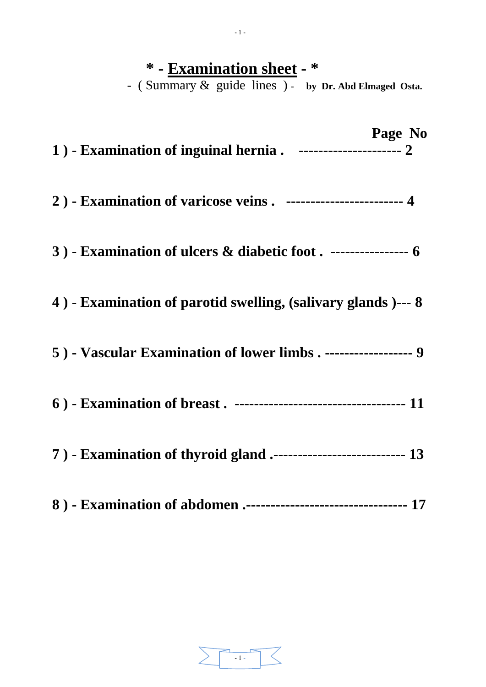# **\* - Examination sheet - \***

- ( Summary & guide lines ) - **by Dr. Abd Elmaged Osta.**

| 1) - Examination of inguinal hernia. --------------------- 2       | Page No |
|--------------------------------------------------------------------|---------|
| 2) - Examination of varicose veins . ----------------------- 4     |         |
| 3) - Examination of ulcers & diabetic foot. ---------------- 6     |         |
| 4) - Examination of parotid swelling, (salivary glands)--- 8       |         |
| 5) - Vascular Examination of lower limbs . ----------------- 9     |         |
| 6) - Examination of breast. ----------------------------------- 11 |         |
| 7) - Examination of thyroid gland .-------------------------- 13   |         |
|                                                                    |         |

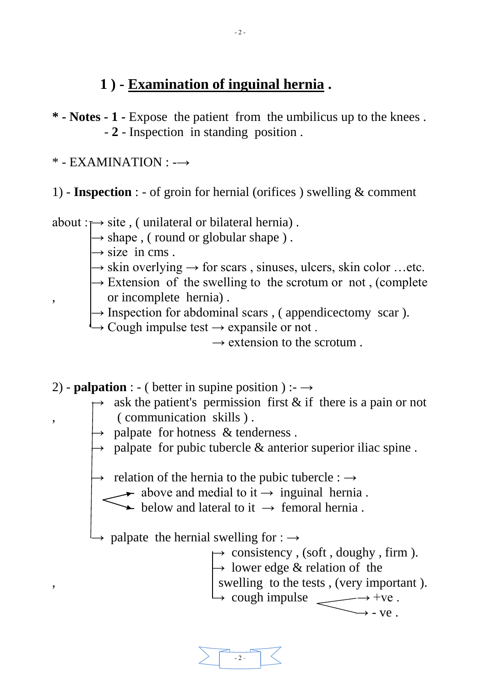## **1 ) - Examination of inguinal hernia .**

**\* - Notes - 1 -** Expose the patient from the umbilicus up to the knees . - **2** - Inspection in standing position .

 $*$  - EXAMINATION : - $\rightarrow$ 

1) - **Inspection** : - of groin for hernial (orifices ) swelling & comment

about :  $\rightarrow$  site, (unilateral or bilateral hernia).

- $\rightarrow$  shape, ( round or globular shape).
- $\mapsto$  size in cms.
- $\rightarrow$  skin overlying  $\rightarrow$  for scars, sinuses, ulcers, skin color …etc.
- $\rightarrow$  Extension of the swelling to the scrotum or not, (complete , or incomplete hernia) .
- $\rightarrow$  Inspection for abdominal scars, (appendicectomy scar).
	- $\rightarrow$  Cough impulse test  $\rightarrow$  expansile or not.

 $\rightarrow$  extension to the scrotum.

2) - **palpation** : - ( better in supine position ) :-  $\rightarrow$ 

- ask the patient's permission first  $\&$  if there is a pain or not , ( communication skills ) .
- $\rightarrow$  palpate for hotness & tenderness.
- $\rightarrow$  palpate for pubic tubercle & anterior superior iliac spine.

 $\rightarrow$  relation of the hernia to the pubic tubercle :  $\rightarrow$ 

 $\longrightarrow$  above and medial to it  $\rightarrow$  inguinal hernia.

- $\rightarrow$  below and lateral to it  $\rightarrow$  femoral hernia.
	- $\rightarrow$  palpate the hernial swelling for :  $\rightarrow$

 $\rightarrow$  consistency, (soft, doughy, firm).

 $\rightarrow$  lower edge & relation of the

, swelling to the tests , (very important ).

 $\rightarrow$  cough impulse  $\rightarrow$  +ve.

 $\longrightarrow -ve.$ 

 $-2 -$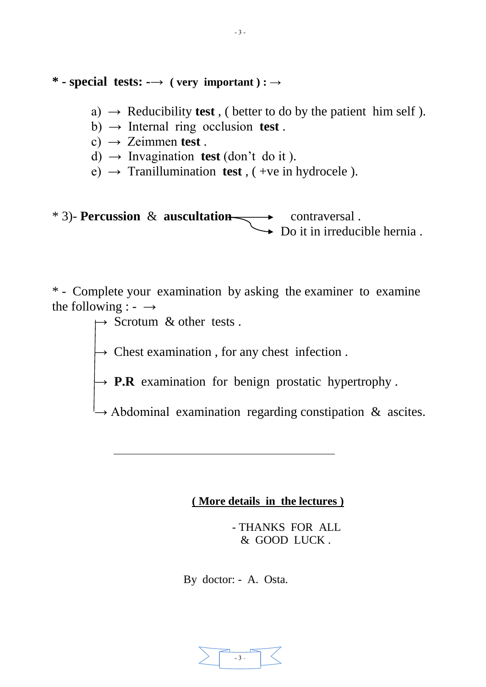**\* - special tests: -→ ( very important ) : →**

- a)  $\rightarrow$  Reducibility **test**, ( better to do by the patient him self ).
- b)  $\rightarrow$  Internal ring occlusion **test**.
- c)  $\rightarrow$  Zeimmen **test**.
- d)  $\rightarrow$  Invagination **test** (don't do it).
- e)  $\rightarrow$  Tranillumination **test**, (+ve in hydrocele).

\* 3)- **Percussion** & **auscultation** contraversal.  $\rightarrow$  Do it in irreducible hernia.

\* - Complete your examination by asking the examiner to examine the following :  $\rightarrow$ 

 $\mapsto$  Scrotum & other tests.

 $\mapsto$  Chest examination, for any chest infection.

- $\rightarrow$  **P.R** examination for benign prostatic hypertrophy.
- $\rightarrow$  Abdominal examination regarding constipation & ascites.

#### **( More details in the lectures )**

 - THANKS FOR ALL & GOOD LUCK .

By doctor: - A. Osta.

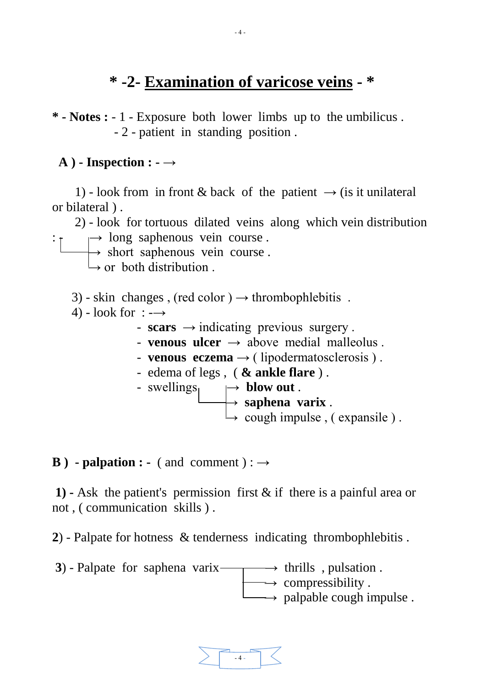# **\* -2- Examination of varicose veins - \***

**\* - Notes :** - 1 - Exposure both lower limbs up to the umbilicus . - 2 - patient in standing position .

#### $A$ ) - **Inspection :**  $\rightarrow$

1) - look from in front & back of the patient  $\rightarrow$  (is it unilateral or bilateral ) .

 2) - look for tortuous dilated veins along which vein distribution  $: \dagger \longrightarrow$  long saphenous vein course.

 $\longrightarrow$  short saphenous vein course.

 $\rightarrow$  or both distribution.

- 3) skin changes, (red color)  $\rightarrow$  thrombophlebitis.
- 4) look for  $: \rightarrow$ 
	- $\sim$  **scars**  $\rightarrow$  indicating previous surgery.
	- **venous ulcer**  $\rightarrow$  above medial malleolus.
	- **venous eczema**  $\rightarrow$  ( lipodermatosclerosis ).
	- edema of legs , ( **& ankle flare** ) .

 $-$  swellings<sub>1</sub>  $\rightarrow$  **blow out**. → **saphena varix** .  $\rightarrow$  cough impulse, (expansile).

#### **B**) - **palpation :** - ( and comment ) :  $\rightarrow$

**1) -** Ask the patient's permission first & if there is a painful area or not , ( communication skills ) .

**2**) - Palpate for hotness & tenderness indicating thrombophlebitis .

**3**) - Palpate for saphena varix  $\longrightarrow$  thrills, pulsation.  $\longrightarrow$  compressibility.

 $\longrightarrow$  palpable cough impulse.

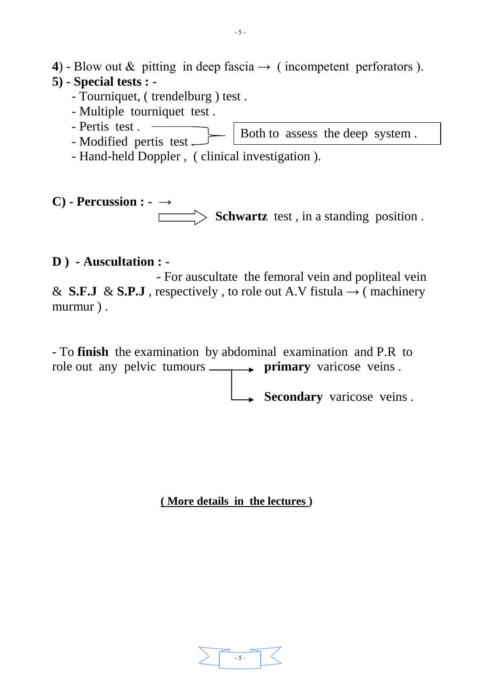**4**) - Blow out & pitting in deep fascia  $\rightarrow$  (incompetent perforators).

## **5) - Special tests : -**

- Tourniquet, ( trendelburg ) test .
- Multiple tourniquet test .
- Pertis test . - Modified pertis test  $\overline{\phantom{a}}$ Both to assess the deep system .
- Hand-held Doppler , ( clinical investigation ).

**C) - Percussion : - →**  $\Rightarrow$  **Schwartz** test, in a standing position.

#### **D ) - Auscultation : -**

- For auscultate the femoral vein and popliteal vein & **S.F.J** & **S.P.J**, respectively, to role out A.V fistula → (machinery murmur ) .

- To **finish** the examination by abdominal examination and P.R to role out any pelvic tumours **primary** varicose veins.

**Secondary** varicose veins .

 **( More details in the lectures )** 

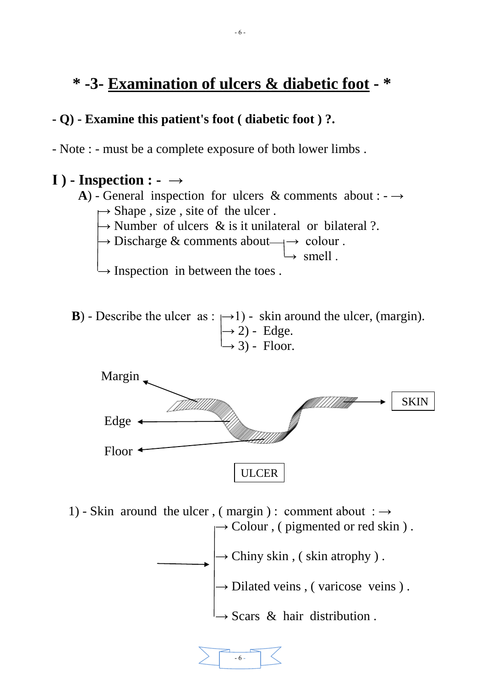# **\* -3- Examination of ulcers & diabetic foot - \***

## **- Q) - Examine this patient's foot ( diabetic foot ) ?.**

- Note : - must be a complete exposure of both lower limbs .

## $\mathbf{I}$ ) - Inspection : -  $\rightarrow$

- **A**) General inspection for ulcers & comments about :  $\rightarrow$  $\rightarrow$  Shape, size, site of the ulcer.  $\rightarrow$  Number of ulcers & is it unilateral or bilateral ?.  $\rightarrow$  Discharge & comments about $\rightarrow$  colour.  $\rightarrow$  smell .  $\rightarrow$  Inspection in between the toes.
- **B**) Describe the ulcer as :  $\rightarrow$ 1) skin around the ulcer, (margin).  $\rightarrow$  2) - Edge.  $\rightarrow$  3) - Floor.



1) - Skin around the ulcer, (margin): comment about :  $\rightarrow$ 

 $-6 -$ 

 $\rightarrow$  Colour, ( pigmented or red skin ).  $\rightarrow$  Chiny skin, ( skin atrophy ).  $\rightarrow$  Dilated veins, (varicose veins).  $\rightarrow$  Scars & hair distribution.

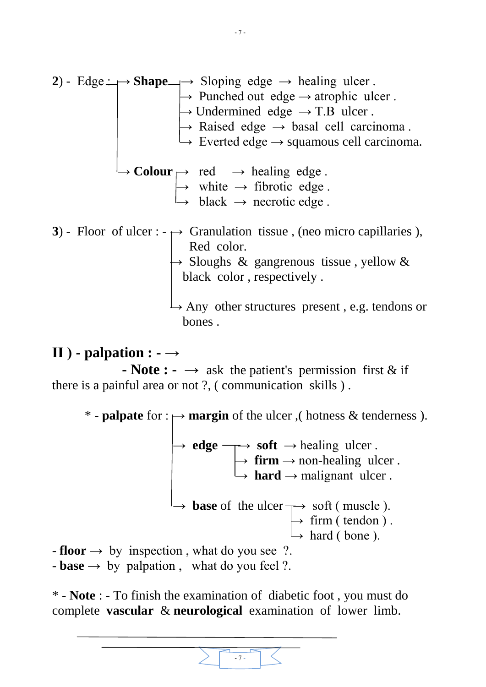**2**) - Edge : → **Shape** → Sloping edge → healing ulcer . → Punched out edge → atrophic ulcer . → Undermined edge → T.B ulcer . → Raised edge → basal cell carcinoma . → Everted edge → squamous cell carcinoma. → **Colour** → red → healing edge . → white → fibrotic edge . → black → necrotic edge . **3**) - Floor of ulcer : - → Granulation tissue , (neo micro capillaries ), Red color. → Sloughs & gangrenous tissue , yellow & black color , respectively . → Any other structures present , e.g. tendons or bones .

# **ІІ ) - palpation : - →**

 **- Note : - →** ask the patient's permission first & if there is a painful area or not ?, ( communication skills ) .

\* - **palpate** for : → **margin** of the ulcer ,( hotness & tenderness ).

 $\rightarrow$  **edge**  $\rightarrow$  **soft**  $\rightarrow$  healing ulcer.  $\rightarrow$  **firm**  $\rightarrow$  non-healing ulcer.  $\rightarrow$  **hard**  $\rightarrow$  malignant ulcer.  $\rightarrow$  **base** of the ulcer  $\rightarrow$  soft (muscle).  $\rightarrow$  firm ( tendon ).  $\rightarrow$  hard ( bone ).  $\bullet$  **floor**  $\rightarrow$  by inspection, what do you see ?.

 $-$  **base**  $\rightarrow$  by palpation, what do you feel ?.

\* - **Note** : - To finish the examination of diabetic foot , you must do complete **vascular** & **neurological** examination of lower limb.

 $-7 -$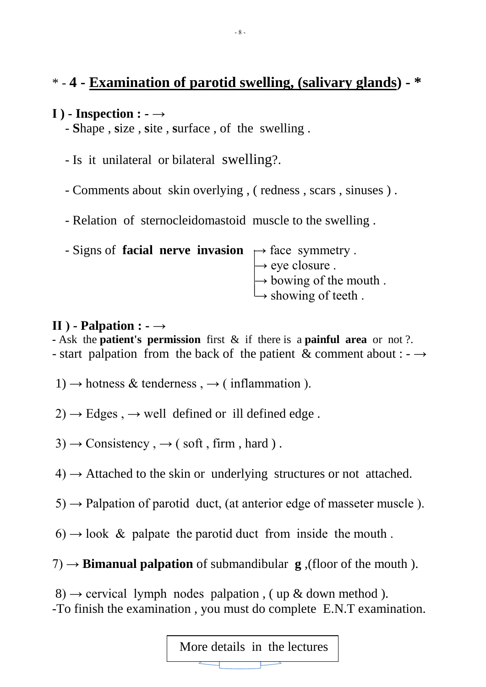# \* - **4 - Examination of parotid swelling, (salivary glands) - \***

#### **I**  $)$  - **Inspection : -**  $\rightarrow$

- **S**hape , **s**ize , **s**ite , **s**urface , of the swelling .

- Is it unilateral or bilateral swelling?.

- Comments about skin overlying , ( redness , scars , sinuses ) .

- Relation of sternocleidomastoid muscle to the swelling .

- Signs of **facial nerve invasion**  $\rightarrow$  face symmetry.  $\rightarrow$  eye closure .  $\rightarrow$  bowing of the mouth.  $\mapsto$  showing of teeth.

## $\textbf{II}$ ) - **Palpation :**  $\rightarrow$

**-** Ask the **patient's permission** first & if there is a **painful area** or not ?. - start palpation from the back of the patient & comment about :  $\rightarrow$ 

- 1)  $\rightarrow$  hotness & tenderness,  $\rightarrow$  ( inflammation ).
- $2) \rightarrow Edges$ ,  $\rightarrow$  well defined or ill defined edge.
- $3) \rightarrow$  Consistency,  $\rightarrow$  (soft, firm, hard).
- $4) \rightarrow$  Attached to the skin or underlying structures or not attached.
- $5) \rightarrow$  Palpation of parotid duct, (at anterior edge of masseter muscle).
- $6) \rightarrow$  look & palpate the parotid duct from inside the mouth.

7)  $\rightarrow$  **Bimanual palpation** of submandibular **g** (floor of the mouth).

8)  $\rightarrow$  cervical lymph nodes palpation, (up & down method). -To finish the examination , you must do complete E.N.T examination.

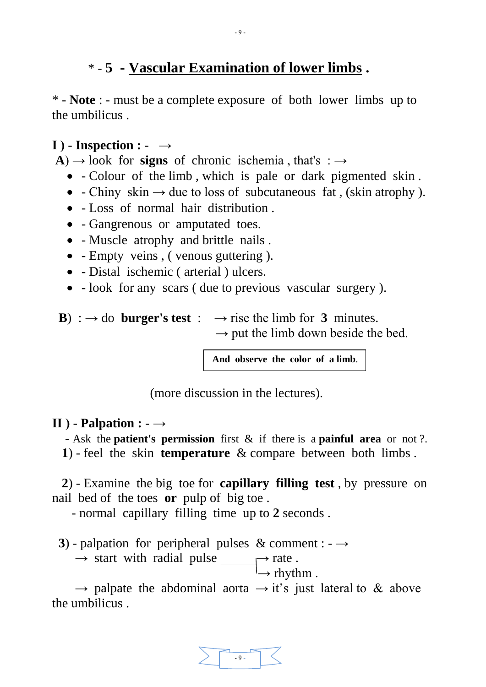# \* - **5 - Vascular Examination of lower limbs .**

\* - **Note** : - must be a complete exposure of both lower limbs up to the umbilicus .

#### $\mathbf{I}$ ) - Inspection : -  $\rightarrow$

 $\bf{A}) \rightarrow$  look for **signs** of chronic ischemia, that's :  $\rightarrow$ 

- Colour of the limb , which is pale or dark pigmented skin .
- $\bullet$  Chiny skin  $\rightarrow$  due to loss of subcutaneous fat, (skin atrophy).
- Loss of normal hair distribution .
- Gangrenous or amputated toes.
- Muscle atrophy and brittle nails .
- Empty veins, (venous guttering).
- - Distal ischemic (arterial) ulcers.
- - look for any scars ( due to previous vascular surgery ).

**B**) :  $\rightarrow$  do **burger's test** :  $\rightarrow$  rise the limb for **3** minutes.  $\rightarrow$  put the limb down beside the bed.

**And observe the color of a limb**.

(more discussion in the lectures).

#### **II**) - **Palpation : -**  $\rightarrow$

 **-** Ask the **patient's permission** first & if there is a **painful area** or not ?. **1**) - feel the skin **temperature** & compare between both limbs .

 **2**) - Examine the big toe for **capillary filling test** , by pressure on nail bed of the toes **or** pulp of big toe .

- normal capillary filling time up to **2** seconds .

**3**) - palpation for peripheral pulses & comment :  $\rightarrow$ 

 $\rightarrow$  start with radial pulse  $\rightarrow$  rate.

 $\rightarrow$  rhythm.

 $\rightarrow$  palpate the abdominal aorta  $\rightarrow$  it's just lateral to & above the umbilicus .

 $-9 -$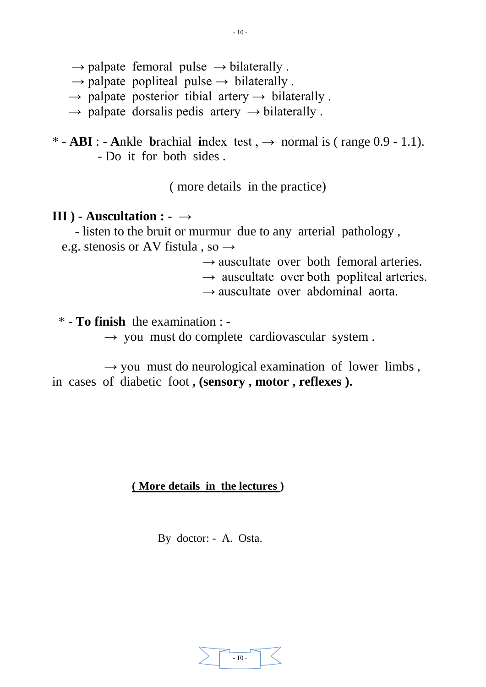- $\rightarrow$  palpate femoral pulse  $\rightarrow$  bilaterally.
- $\rightarrow$  palpate popliteal pulse  $\rightarrow$  bilaterally.
- $\rightarrow$  palpate posterior tibial artery  $\rightarrow$  bilaterally.
- $\rightarrow$  palpate dorsalis pedis artery  $\rightarrow$  bilaterally.
- \*  $\cdot$  **ABI** : **Ankle brachial index test**,  $\rightarrow$  normal is (range 0.9 1.1). - Do it for both sides .

( more details in the practice)

#### **ІІІ ) - Auscultation : -** →

 - listen to the bruit or murmur due to any arterial pathology , e.g. stenosis or AV fistula, so  $\rightarrow$ 

- $\rightarrow$  auscultate over both femoral arteries.
- $\rightarrow$  auscultate over both popliteal arteries.
- $\rightarrow$  auscultate over abdominal aorta.

\* - **To finish** the examination : -

 $\rightarrow$  you must do complete cardiovascular system.

 $\rightarrow$  you must do neurological examination of lower limbs, in cases of diabetic foot **, (sensory , motor , reflexes ).**

#### **( More details in the lectures )**

By doctor: - A. Osta.

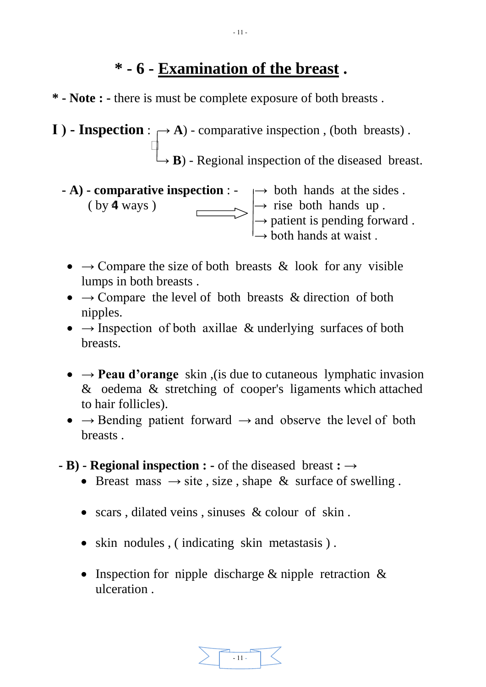# **\* - 6 - Examination of the breast .**

**\* - Note : -** there is must be complete exposure of both breasts .

**I**) - **Inspection** :  $\rightarrow$  **A**) - comparative inspection, (both breasts).

 $\rightarrow$  **B**) - Regional inspection of the diseased breast.

- $\bullet$  **A) comparative inspection** :  $\rightarrow$  both hands at the sides. ( by **4** ways )  $\longrightarrow$  rise both hands up.  $\rightarrow$  patient is pending forward.  $\rightarrow$  both hands at waist.
	- $\bullet \rightarrow$  Compare the size of both breasts & look for any visible lumps in both breasts .
	- $\bullet \rightarrow$  Compare the level of both breasts & direction of both nipples.
	- $\bullet \rightarrow$  Inspection of both axillae & underlying surfaces of both breasts.
	- → **Peau d'orange** skin ,(is due to cutaneous lymphatic invasion & oedema & stretching of cooper's ligaments which attached to hair follicles).
	- $\bullet \rightarrow$  Bending patient forward  $\rightarrow$  and observe the level of both breasts .
	- **- B) - Regional inspection : -** of the diseased breast **: →**
		- Breast mass  $\rightarrow$  site, size, shape & surface of swelling.
		- scars, dilated veins, sinuses & colour of skin.
		- skin nodules, (indicating skin metastasis).
		- Inspection for nipple discharge  $&$  nipple retraction  $&$ ulceration .

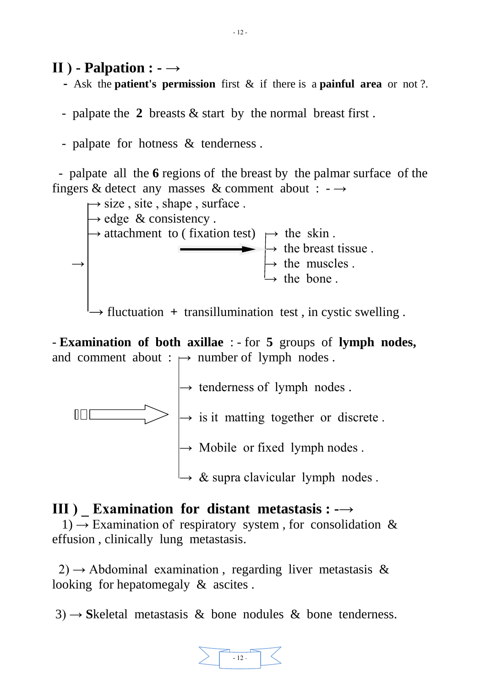#### $\textbf{II}$ ) - **Palpation : -**  $\rightarrow$

**-** Ask the **patient's permission** first & if there is a **painful area** or not ?.

- palpate the **2** breasts & start by the normal breast first .

- palpate for hotness & tenderness .

 - palpate all the **6** regions of the breast by the palmar surface of the fingers & detect any masses & comment about :  $\rightarrow$ 



→ fluctuation **+** transillumination test , in cystic swelling .

- **Examination of both axillae** : - for **5** groups of **lymph nodes,** and comment about :  $\mapsto$  number of lymph nodes.



#### **ІІІ ) \_ Examination for distant metastasis : -→**

1)  $\rightarrow$  Examination of respiratory system, for consolidation & effusion , clinically lung metastasis.

 $2) \rightarrow$  Abdominal examination, regarding liver metastasis & looking for hepatomegaly & ascites.

3) → **S**keletal metastasis & bone nodules & bone tenderness.

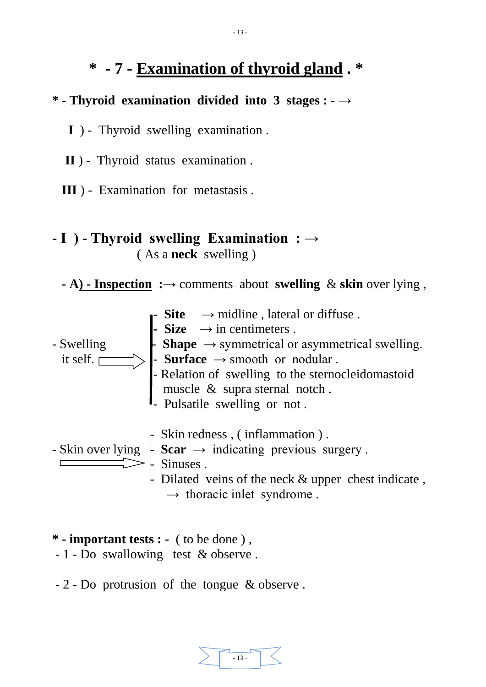# **\* - 7 - Examination of thyroid gland . \***

#### **\* - Thyroid examination divided into 3 stages : - →**

**І** ) - Thyroid swelling examination .

**ІІ** ) - Thyroid status examination .

**ІІІ** ) - Examination for metastasis .

### **- І ) - Thyroid swelling Examination : →**  ( As a **neck** swelling )

 **- A) - Inspection :→** comments about **swelling** & **skin** over lying ,

- **-** Site  $\rightarrow$  midline, lateral or diffuse.  $\textbf{- Size} \rightarrow \text{in centimeters}.$  $-$  Swelling  $\qquad \qquad$  **Shape**  $\rightarrow$  symmetrical or asymmetrical swelling. it self.  $\Box$  >  $\Box$  **Surface**  $\rightarrow$  smooth or nodular. - Relation of swelling to the sternocleidomastoid muscle & supra sternal notch. **-** Pulsatile swelling or not. - Skin redness , ( inflammation ) .  $-$  Skin over lying  $\mathcal{L}$  **Scar**  $\rightarrow$  indicating previous surgery.  $\implies$   $\vdash$  Sinuses . Dilated veins of the neck  $&$  upper chest indicate,  $\rightarrow$  thoracic inlet syndrome.
- **\* - important tests : -** ( to be done ) , - 1 - Do swallowing test & observe .
- 2 Do protrusion of the tongue & observe .

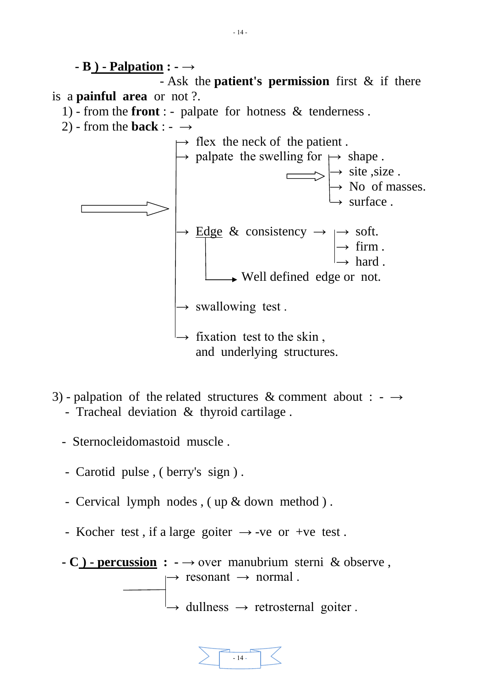

- 3) palpation of the related structures & comment about :  $\rightarrow$  - Tracheal deviation & thyroid cartilage .
	- Sternocleidomastoid muscle .
	- Carotid pulse , ( berry's sign ) .
	- Cervical lymph nodes , ( up & down method ) .
	- Kocher test, if a large goiter  $\rightarrow$  -ve or +ve test.
	- **- C ) - percussion : -** → over manubrium sterni & observe ,  $\rightarrow$  resonant  $\rightarrow$  normal.

 $\rightarrow$  dullness  $\rightarrow$  retrosternal goiter.

 $-14-$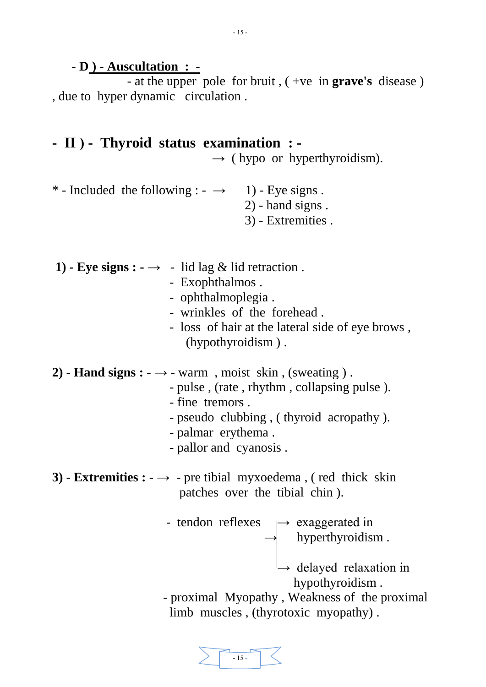**- D ) - Auscultation : -**

 - at the upper pole for bruit , ( +ve in **grave's** disease ) , due to hyper dynamic circulation .

## **- ІІ ) - Thyroid status examination : -**

 $\rightarrow$  (hypo or hyperthyroidism).

\* - Included the following : -  $\rightarrow$  1) - Eye signs. 2) - hand signs . 3) - Extremities .

- **1) Eye signs :**  $\rightarrow$  lid lag & lid retraction.
	- Exophthalmos .
	- ophthalmoplegia .
	- wrinkles of the forehead .
	- loss of hair at the lateral side of eye brows , (hypothyroidism ) .
- **2) Hand signs :**  $\rightarrow$  warm, moist skin, (sweating).
	- pulse , (rate , rhythm , collapsing pulse ).
		- fine tremors .
		- pseudo clubbing , ( thyroid acropathy ).
		- palmar erythema .
		- pallor and cyanosis .
- **3) Extremities :**  $\rightarrow$  pre tibial myxoedema, (red thick skin patches over the tibial chin ).
- tendon reflexes  $\rightarrow$  exaggerated in  $\rightarrow$  hyperthyroidism.
- $\rightarrow$  delayed relaxation in hypothyroidism .
	- proximal Myopathy , Weakness of the proximal limb muscles , (thyrotoxic myopathy) .

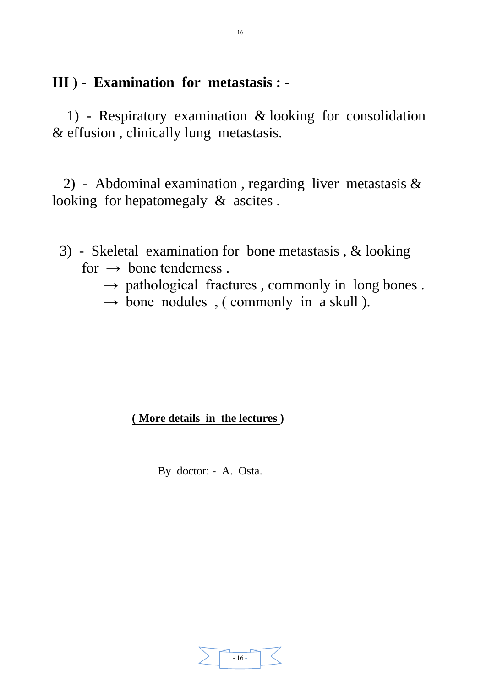# **ІІІ ) - Examination for metastasis : -**

 1) - Respiratory examination & looking for consolidation & effusion , clinically lung metastasis.

 2) - Abdominal examination , regarding liver metastasis & looking for hepatomegaly & ascites.

 3) - Skeletal examination for bone metastasis , & looking for  $\rightarrow$  bone tenderness.

- $\rightarrow$  pathological fractures, commonly in long bones.
- $\rightarrow$  bone nodules , ( commonly in a skull ).

#### **( More details in the lectures )**

By doctor: - A. Osta.

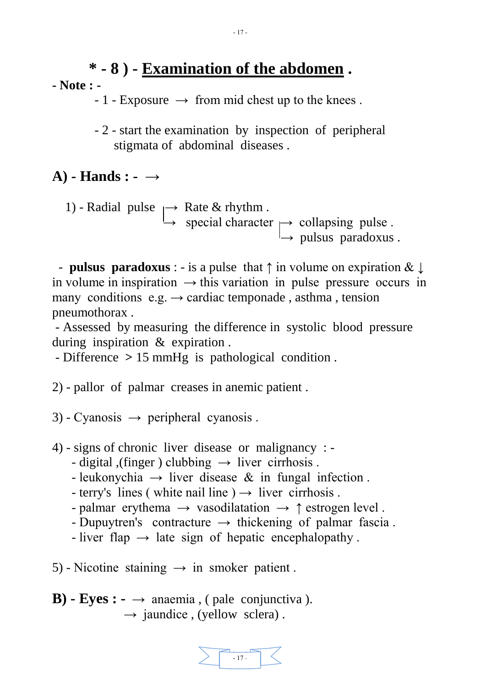# **\* - 8 ) - Examination of the abdomen . - Note : -**

 $-1$  - Exposure  $\rightarrow$  from mid chest up to the knees.

 - 2 - start the examination by inspection of peripheral stigmata of abdominal diseases .

## **A) - Hands : - →**

1) - Radial pulse  $\rightarrow$  Rate & rhythm.  $\rightarrow$  special character  $\rightarrow$  collapsing pulse.  $\rightarrow$  pulsus paradoxus .

 - **pulsus paradoxus** : - is a pulse that ↑ in volume on expiration & ↓ in volume in inspiration  $\rightarrow$  this variation in pulse pressure occurs in many conditions  $e.g. \rightarrow$  cardiac temponade, asthma, tension pneumothorax .

- Assessed by measuring the difference in systolic blood pressure during inspiration & expiration .

- Difference **>** 15 mmHg is pathological condition .

2) - pallor of palmar creases in anemic patient .

3) - Cyanosis  $\rightarrow$  peripheral cyanosis.

4) - signs of chronic liver disease or malignancy : -

- digital ,(finger) clubbing  $\rightarrow$  liver cirrhosis.
- leukonychia  $\rightarrow$  liver disease & in fungal infection.
- terry's lines ( white nail line )  $\rightarrow$  liver cirrhosis.
- palmar erythema  $\rightarrow$  vasodilatation  $\rightarrow \uparrow$  estrogen level.
- Dupuytren's contracture  $\rightarrow$  thickening of palmar fascia.
- liver flap  $\rightarrow$  late sign of hepatic encephalopathy.

5) - Nicotine staining  $\rightarrow$  in smoker patient.

**B)** - **Eyes :** -  $\rightarrow$  anaemia, ( pale conjunctiva ).  $\rightarrow$  jaundice, (yellow sclera).

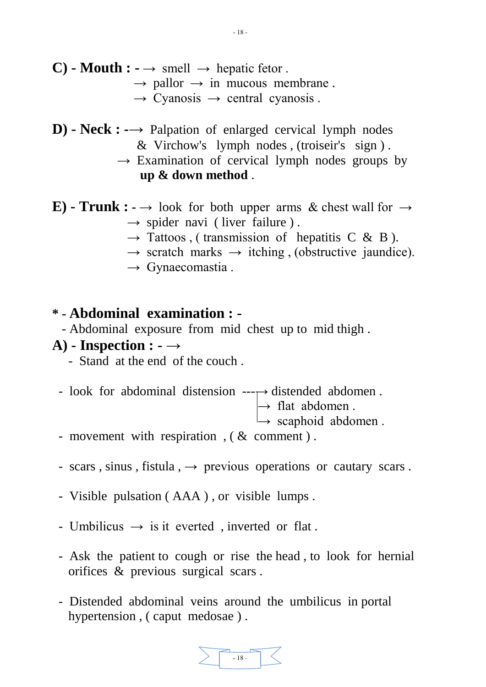- **C) Mouth :**  $\rightarrow$  smell  $\rightarrow$  hepatic fetor.
	- $\rightarrow$  pallor  $\rightarrow$  in mucous membrane.
	- $\rightarrow$  Cyanosis  $\rightarrow$  central cyanosis.
- **D) - Neck : -**→ Palpation of enlarged cervical lymph nodes & Virchow's lymph nodes , (troiseir's sign ) .
	- $\rightarrow$  Examination of cervical lymph nodes groups by **up & down method** .
- **E) Trunk :**  $\rightarrow$  look for both upper arms & chest wall for  $\rightarrow$  $\rightarrow$  spider navi (liver failure).
	- $\rightarrow$  Tattoos, (transmission of hepatitis C & B).
	- $\rightarrow$  scratch marks  $\rightarrow$  itching, (obstructive jaundice).
	- $\rightarrow$  Gynaecomastia.

## **\* - Abdominal examination : -**

- Abdominal exposure from mid chest up to mid thigh .

### **A) - Inspection : - →**

- Stand at the end of the couch .
- look for abdominal distension  $---\rightarrow$  distended abdomen.

 $\rightarrow$  flat abdomen.

 $\rightarrow$  scaphoid abdomen.

- movement with respiration , ( & comment ).
- scars, sinus, fistula,  $\rightarrow$  previous operations or cautary scars.
- Visible pulsation ( AAA ) , or visible lumps .
- Umbilicus  $\rightarrow$  is it everted, inverted or flat.
- Ask the patient to cough or rise the head , to look for hernial orifices & previous surgical scars .
- Distended abdominal veins around the umbilicus in portal hypertension , ( caput medosae ) .



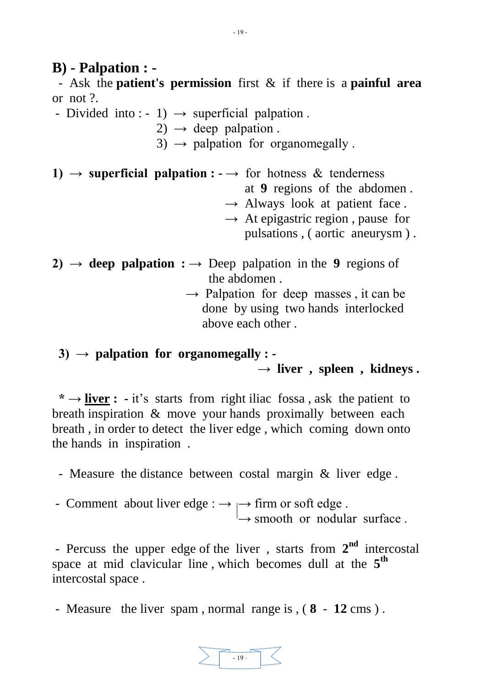## **B) - Palpation : -**

 - Ask the **patient's permission** first & if there is a **painful area** or not ?.

- Divided into : - 1)  $\rightarrow$  superficial palpation.

 $2) \rightarrow$  deep palpation.

 $3) \rightarrow$  palpation for organomegally.

- 1)  $\rightarrow$  **superficial palpation :**  $\rightarrow$  for hotness & tenderness at **9** regions of the abdomen .  $\rightarrow$  Always look at patient face. → At epigastric region, pause for pulsations , ( aortic aneurysm ) .
- **2)**  $\rightarrow$  **deep palpation :**  $\rightarrow$  Deep palpation in the 9 regions of the abdomen .
	- $\rightarrow$  Palpation for deep masses, it can be done by using two hands interlocked above each other .
	- **3) → palpation for organomegally : - → liver , spleen , kidneys .**

 **\* → liver : -** it's starts from right iliac fossa , ask the patient to breath inspiration & move your hands proximally between each breath , in order to detect the liver edge , which coming down onto the hands in inspiration .

- Measure the distance between costal margin & liver edge .
- Comment about liver edge :  $\rightarrow \rightarrow$  firm or soft edge.  $\rightarrow$  smooth or nodular surface.

- Percuss the upper edge of the liver, starts from  $2<sup>nd</sup>$  intercostal space at mid clavicular line, which becomes dull at the 5<sup>th</sup> intercostal space .

- Measure the liver spam , normal range is , ( **8** - **12** cms ) .

$$
\sum \boxed{-19} - \boxed{3}
$$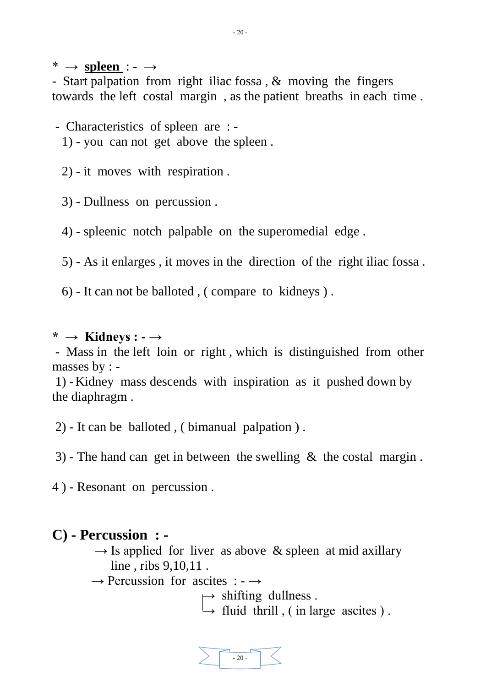$* \rightarrow$  **spleen** : -  $\rightarrow$ 

- Start palpation from right iliac fossa , & moving the fingers towards the left costal margin , as the patient breaths in each time .

- Characteristics of spleen are : - 1) - you can not get above the spleen .

2) - it moves with respiration .

3) - Dullness on percussion .

4) - spleenic notch palpable on the superomedial edge .

5) - As it enlarges , it moves in the direction of the right iliac fossa .

6) - It can not be balloted , ( compare to kidneys ) .

#### **\* → Kidneys : - →**

- Mass in the left loin or right , which is distinguished from other masses by : -

1) -Kidney mass descends with inspiration as it pushed down by the diaphragm .

2) - It can be balloted , ( bimanual palpation ) .

3) - The hand can get in between the swelling & the costal margin .

4 ) - Resonant on percussion .

## **C) - Percussion : -**

 $\rightarrow$  Is applied for liver as above & spleen at mid axillary line , ribs 9,10,11 .

 $\rightarrow$  Percussion for ascites :  $\rightarrow$ 

 $\mapsto$  shifting dullness.

 $\rightarrow$  fluid thrill, (in large ascites).